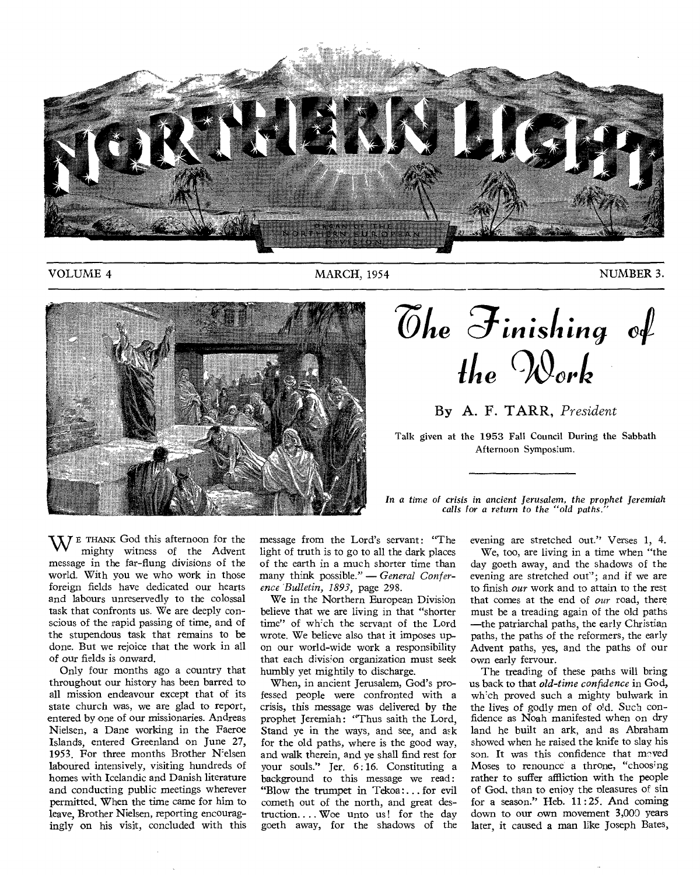

VOLUME 4 MARCH, 1954 MARCH, 1954 MUMBER 3.



**Zhe ginishing ihe Tort** 

## By A. F. TARR, *President*

Talk given at the 1953 Fall Council During the Sabbath Afternoon Symposium.

WE THANK God this afternoon for the mighty witness of the Advent message in the far-flung divisions of the world. With you we who work in those foreign fields have dedicated our hearts and labours unreservedly to the colossal task that confronts us. We are deeply conscious of the rapid passing of time, and of the stupendous task that remains to be done. But we rejoice that the work in all of our fields is onward.

Only four months ago a country that throughout our history has been barred to all mission endeavour except that of its state church was, we are glad to report, entered by one of our missionaries. Andreas Nielsen, a Dane working in the Faeroe Islands, entered Greenland on June 27, 1953. For three months Brother Nielsen laboured intensively, visiting hundreds of homes with Icelandic and Danish literature and conducting public meetings wherever permitted. When the time came for him to leave, Brother Nielsen, reporting encouragingly on his visit, concluded with this message from the Lord's servant: "The light of truth is to go to all the dark places of the earth in a much shorter time than many think possible." — *General Conference "Bulletin, 1893,* page 298.

We in the Northern European Division believe that we are living in that "shorter time" of which the servant of the Lord wrote. We believe also that it imposes upon our world-wide work a responsibility that each division organization must seek humbly yet mightily to discharge.

When, in ancient Jerusalem, God's professed people were confronted with a crisis, this message was delivered by the prophet Jeremiah: "Thus saith the Lord, Stand ye in the ways, and see, and ask for the old paths, where is the good way, and walk therein, and ye shall find rest for your souls." Jer. 6: 16. Constituting a background to this message we read : "Blow the trumpet in Tekoa: ... for evil cometh out of the north, and great destruction.. .. Woe unto us ! for the day goeth away, for the shadows of the

*In a time of crisis in ancient Jerusalem, the prophet Jeremiah calls for a return to the "old paths."* 

evening are stretched out." Verses 1, 4.

We, too, are living in a time when "the day goeth away, and the shadows of the evening are stretched out"; and if we are to finish *our* work and to attain to the rest that comes at the end of *our* road, there must be a treading again of the old paths —the patriarchal paths, the early Christian paths, the paths of the reformers, the early Advent paths, yes, and the paths of our own early fervour.

The treading of these paths will bring us back to that *old-time confidence* in God, which proved such a mighty bulwark in the lives of godly men of old. Such confidence as Noah manifested when on dry land he built an ark, and as Abraham showed when he raised the knife to slay his son. It was this confidence that moved Moses to renounce a throne, "choosing rather to suffer affliction with the people of God, than to enjoy the pleasures of sin for a season." Heb.  $11:25$ . And coming down to our own movement 3,000 years later, it caused a man like Joseph Bates,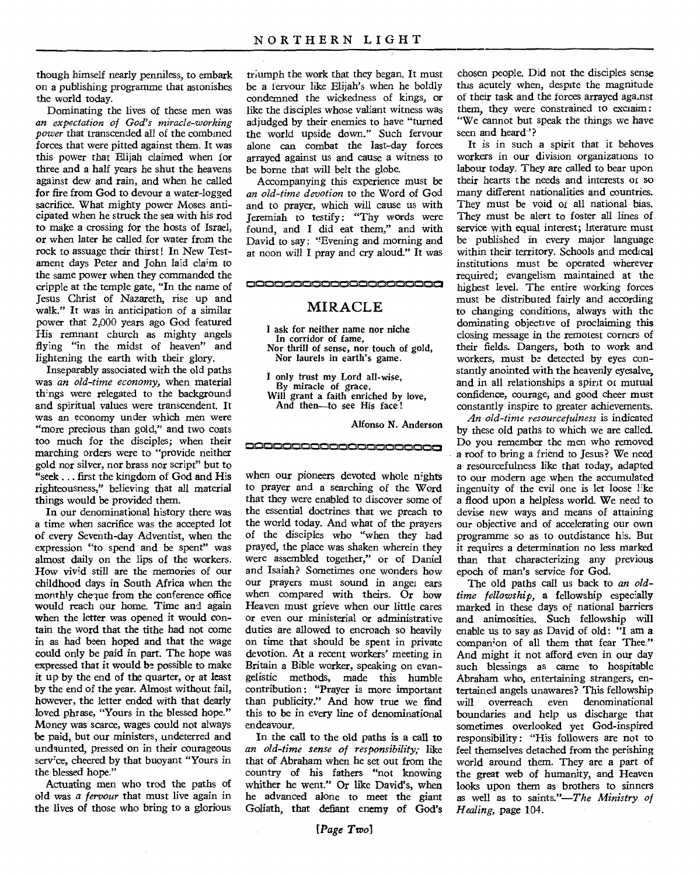though himself nearly penniless, to embark on a publishing programme that astonishes the world today.

Dominating the lives of these men was *an expectation of God's miracle-working power* that transcended all of the combined forces that were pitted against them. It was this power that Elijah claimed when for three and a half years he shut the heavens against dew and rain, and when he called for fire from God to devour a water-logged sacrifice. What mighty power Moses anticipated when he struck the sea with his rod to make a crossing for the hosts of Israel, or when later he called for water from the rock to assuage their thirst ! In New Testament days Peter and John laid claim to the same power when they commanded the cripple at the temple gate, "In the name of Jesus Christ of Nazareth, rise up and walk." It was in anticipation of a similar power that 2,000 years ago God featured His remnant church as mighty angels flying "in the midst of heaven" and lightening the earth with their glory.

Inseparably associated with the old paths was *an old-time economy,* when material th'ngs were relegated to the background and spiritual values were transcendent. It was an economy under which men were "more precious than gold," and two coats too much for the disciples; when their marching orders were to "provide neither gold nor silver, nor brass nor script" but to "seek ... first the kingdom of God and His righteousness," believing that all material things would be provided them.

In our denominational history there was a time when sacrifice was the accepted lot of every Seventh-day Adventist, when the expression "to spend and be spent" was almost daily on the lips of the workers. How vivid still are the memories of our childhood days in South Africa when the monthly cheque from the conference office would reach our home. Time and again when the letter was opened it would contain the word that the tithe had not come in as had been hoped and that the wage could only be paid in part. The hope was expressed that it would be possible to make it up by the end of the quarter, or at least by the end of the year. Almost without fail, however, the letter ended with that dearly loved phrase, "Yours in the blessed hope." Money was scarce, wages could not always be paid, but our ministers, undeterred and undaunted, pressed on in their courageous service, cheered by that buoyant "Yours in the blessed hope."

Actuating men who trod the paths of old was a *fervour* that must live again in the lives of those who bring to a glorious

triumph the work that they began. It must be a fervour like Elijah's when he boldly condemned the wickedness of kings, or like the disciples whose valiant witness was adjudged by their enemies to have "turned the world upside down." Such fervour alone can combat the last-day forces arrayed against us and cause a witness to be borne that will belt the globe.

Accompanying this experience must be *an old-time devotion* to the Word of God and to prayer, which will cause us with Jeremiah to testify: "Thy words were found, and I did eat them," and with David to say: "Evening and morning and at noon will I pray and cry aloud." It was

**Mil.W.4110,M,IM a Mk IMP'011.0MisMN,Mk.M.MNIM,IMR,M1102•1,11101•1,..**  MIRACLE

> I ask for neither name nor niche In corridor of fame, Nor thrill of sense, nor touch of gold, Nor laurels in earth's game.

I only trust my Lord all-wise, By miracle of grace, Will grant a faith enriched by love, And then—to see His face !

**DODOODOODOODOODOO**O

Alfonso N. Anderson

when our pioneers devoted whole nights to prayer and a searching of the Word that they were enabled to discover some of the essential doctrines that we preach to the world today. And what of the prayers of the disciples who "when they had prayed, the place was shaken wherein they were assembled together," or of Daniel and Isaiah? Sometimes one wonders how our prayers must sound in angel ears when compared with theirs. Or how Heaven must grieve when our little cares or even our ministerial or administrative duties are allowed to encroach so heavily on time that should be spent in private devotion. At a recent workers' meeting in Britain a Bible worker, speaking on evangelistic methods, made this humble contribution: "Prayer is more important than publicity." And how true we find this to be in every line of denominational endeavour.

In the call to the old paths is a call to *an old-time sense of responsibility;* Like that of Abraham when he set out from the country of his fathers "not knowing whither he went." Or like David's, when he advanced alone to meet the giant Goliath, that defiant enemy of God's

chosen people. Did not the disciples sense this acutely when, despite the magnitude of their task and the forces arrayed against them, they were constrained to exclaim: "We cannot but speak the things we have seen and heard"?

It is in such a spirit that it behoves workers in our division organizations to labour today. They are called to bear upon their hearts the needs and interests or so many different nationalities and countries. They must be void of all national bias. They must be alert to foster all lines of service with equal interest; literature must be published in every major language within their territory. Schools and medical institutions must be operated wherever required; evangelism maintained at the highest level. The entire working forces must be distributed fairly and according to changing conditions, always with the dominating objective of proclaiming this closing message in the remotest corners of their fields. Dangers, both to work and workers, must be detected by eyes constantly anointed with the heavenly eyesalve, and in all relationships a spirit or mutual confidence, courage, and good cheer must constantly inspire to greater achievements.

*An old-time resourcefulness* is indicated by these old paths to which we are called. Do you remember the men who removed a roof to bring a friend to Jesus? We need a resourcefulness like that today, adapted to our modern age when the accumulated ingenuity of the evil one is let loose like a flood upon a helpless world. We need to devise new ways and means of attaining our objective and of accelerating our own programme so as to outdistance his. But it requires a determination no less marked than that characterizing any previous epoch of man's service for God.

The old paths call us back to *an oldtime fellowship, a* fellowship especially marked in these days of national barriers and animosities. Such fellowship will enable us to say as David of old: "I am a companion of all them that fear Thee." And might it not afford even in our day such blessings as came to hospitable Abraham who, entertaining strangers, entertained angels unawares? This fellowship will overreach even denominational boundaries and help us discharge that sometimes overlooked yet God-inspired responsibility : "His followers are not to feel themselves detached from the perishing world around them. They are a part of the great web of humanity, and Heaven looks upon them as brothers to sinners as well as to saints."—The *Ministry of Healing,* page 104.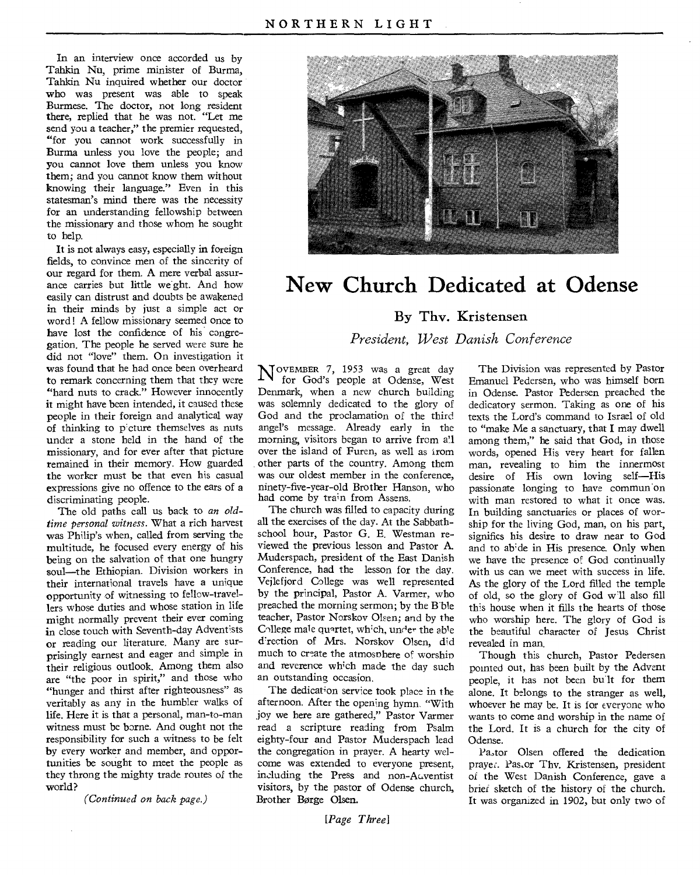In an interview once accorded us by Tahkin Nu, prime minister of Burma, Tahkin Nu inquired whether our doctor who was present was able to speak Burmese. The doctor, not long resident there, replied that he was not. "Let me send you a teacher," the premier requested, "for you cannot work successfully in Burma unless you love the people; and you cannot love them unless you know them; and you cannot know them without knowing their language." Even in this statesman's mind there was the necessity for an understanding fellowship between the missionary and those whom he sought to help.

It is not always easy, especially in foreign fields, to convince men of the sincerity of our regard for them. A mere verbal assurance carries but little weight. And how easily can distrust and doubts be awakened in their minds by just a simple act or word! A fellow missionary seemed once to have lost the confidence of his congregation. The people he served were sure he did not "love" them. On investigation it was found that he had once been overheard to remark concerning them that they were "hard nuts to crack." However innocently it might have been intended, it caused these people in their foreign and analytical way of thinking to picture themselves as nuts under a stone held in the hand of the missionary, and for ever after that picture remained in their memory. How guarded the worker must be that even his casual expressions give no offence to the ears of a discriminating people.

The old paths call us back to *an oldtime personal witness.* What a rich harvest was Philip's when, called from serving the multitude, he focused every energy of his being on the salvation of that one hungry soul—the Ethiopian. Division workers in their international travels have a unique opportunity of witnessing to fellow-travellers whose duties and whose station in life might normally prevent their ever coming in close touch with Seventh-day Adventists or reading our literature. Many are surprisingly earnest and eager and simple in their religious outlook. Among them also are "the poor in spirit," and those who "hunger and thirst after righteousness" as veritably as any in the humbler walks of life. Here it is that a personal, man-to-man witness must be borne. And ought not the responsibility for such a witness to be felt by every worker and member, and opportunities be sought to meet the people as they throng the mighty trade routes of the world?

*(Continued on back page.)* 



# **New Church Dedicated at Odense**

# By Thy. Kristensen

*President, West Danish Conference* 

 $N^{\text{oveMBER} 7, 1953}$  was a great day for God's people at Odense, West Denmark, when a new church building was solemnly dedicated to the glory of God and the proclamation of the third angel's message. Already early in the morning, visitors began to arrive from all over the island of Furen, as well as irom other parts of the country. Among them was our oldest member in the conference, ninety-five-year-old Brother Hanson, who had come by train from Assens.

The church was filled to capacity during all the exercises of the day. At the Sabbathschool hour, Pastor G. E. Westman reviewed the previous lesson and Pastor A. Muderspach, president of the East Danish Conference, had the lesson for the day. Vejlefjord College was well represented by the principal, Pastor A. Varmer, who preached the morning sermon; by the Bible teacher, Pastor Norskov Olsen; and by the College male quartet, which, under the able d'rection of Mrs. Norskov Olsen, did much to create the atmosphere of worship and reverence which made the day such an outstanding occasion.

The dedication service took place in the afternoon. After the opening hymn. "With joy we here are gathered," Pastor Varmer read a scripture reading from Psalm eighty-four and Pastor Muderspach lead the congregation in prayer. A hearty welcome was extended to everyone present, including the Press and non-Auventist visitors, by the pastor of Odense church, Brother Borge Olsen.

*[Page Three]* 

The Division was represented by Pastor Emanuel Pedersen, who was himself born in Odense. Pastor Pedersen preached the dedicatory sermon. Taking as one of his texts the Lord's command to Israel of old to "make Me a sanctuary, that I may dwell among them," he said that God, in those words, opened His very heart for fallen man, revealing to him the innermost desire of His own loving self—His passionate longing to have commun on with man restored to what it once was. In building sanctuaries or places of worship for the living God, man, on his part, signifies his desire to draw near to God and to abide in His presence. Only when we have the presence of God continually with us can we meet with success in life. As the glory of the Lord filled the temple of old, so the glory of God will also fill this house when it fills the hearts of those who worship here. The glory of God is the beautiful character of Jesus Christ revealed in man.

Though this church, Pastor Pedersen pointed out, has been built by the Advent people, it has not been bullt for them alone. It belongs to the stranger as well, whoever he may be. It is for everyone who wants to come and worship in the name of the Lord. It is a church for the city of Odense.

Pastor Olsen offered the dedication prayer. Pas, or Thv. Kristensen, president of the West Danish Conference, gave a brief sketch of the history of the church. It was organized in 1902, but only two of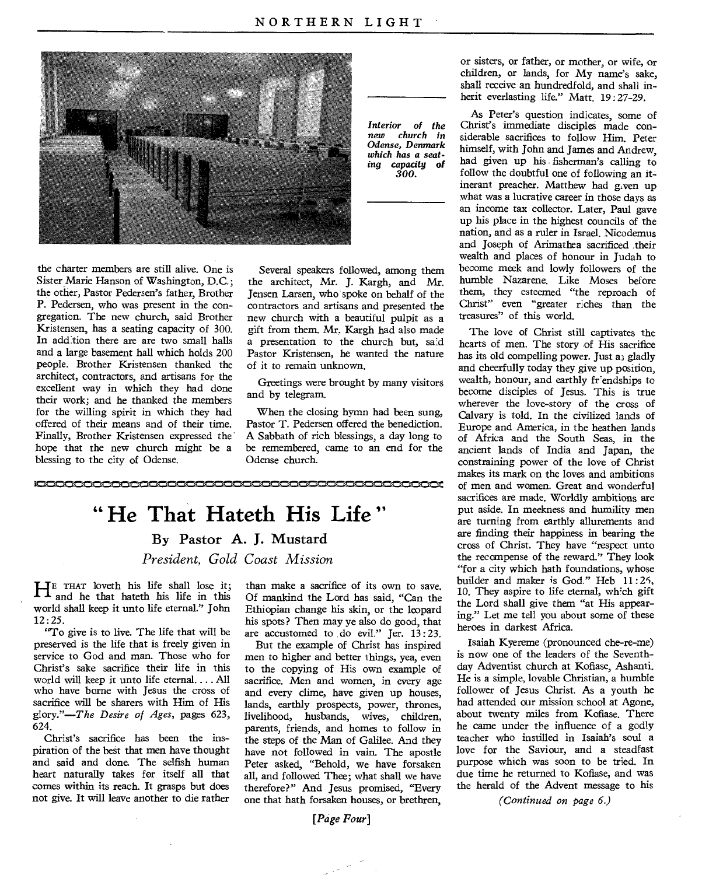

the charter members are still alive. One is Sister Marie Hanson of Washington, D.C.; the other, Pastor Pedersen's father, Brother P. Pedersen, who was present in the congregation. The new church, said Brother Kristensen, has a seating capacity of 300. In addition there are are two small halls and a large basement hall which holds 200 people. Brother Kristensen thanked the architect, contractors, and artisans for the excellent way in which they had done their work; and he thanked the members for the willing spirit in which they had offered of their means and of their time. Finally, Brother Kristensen expressed the hope that the new church might be a blessing to the city of Odense.

*Interior of the church in Odense, Denmark which has a seating capacity of 300.* 

Several speakers followed, among them the architect, Mr. J. Kargh, and Mr. Jensen Larsen, who spoke on behalf of the contractors and artisans and presented the new church with a beautiful pulpit as a gift from them. Mr. Kargh had also made a presentation to the church but, said Pastor Kristensen, he wanted the nature of it to remain unknown.

Greetings were brought by many visitors and by telegram.

When the closing hymn had been sung, Pastor T. Pedersen offered the benediction. A Sabbath of rich blessings, a day long to be remembered, came to an end for the Odense church.

**" He That Hateth His Life "**  By Pastor A. J. Mustard *President, Gold Coast Mission* 

HE THAT loveth his life shall lose it; and he that hateth his life in this world shall keep it unto life eternal." John 12 : 25.

"To give is to live. The life that will be preserved is the life that is freely given in service to God and man. Those who for Christ's sake sacrifice their life in this world will keep it unto life eternal.... All who have borne with Jesus the cross of sacrifice will be sharers with Him of His glory."—The *Desire of Ages,* pages 623, 624.

Christ's sacrifice has been the inspiration of the best that men have thought and said and done. The selfish human heart naturally takes for itself *all* that comes within its reach. It grasps but does not give. It will leave another to die rather

than make a sacrifice of its own to save. Of mankind the Lord has said, "Can the Ethiopian change his skin, or the leopard his spots? Then may ye also do good, that are accustomed to do evil." Jer. 13:23.

But the example of Christ has inspired men to higher and better things, yea, even to the copying of His own example of sacrifice. Men and women, in every age and every clime, have given up houses, lands, earthly prospects, power, thrones, livelihood, husbands, wives, children, parents, friends, and homes to follow in the steps of the Man of Galilee. And they have not followed in vain. The apostle Peter asked, "Behold, we have forsaken all, and followed Thee; what shall we have therefore?" And Jesus promised, "Every one that hath forsaken houses, or brethren,

*[Page Four]* 

or sisters, or father, or mother, or wife, or children, or lands, for My name's sake, shall receive an hundredfold, and shall inherit everlasting life." Matt. 19:27-29.

As Peter's question indicates, some of Christ's immediate disciples made considerable sacrifices to follow Him. Peter himself, with John and James and Andrew, had given up his - fisherman's calling to follow the doubtful one of following an itinerant preacher. Matthew had given up what was a lucrative career in those days as an income tax collector. Later, Paul gave up his place in the highest councils of the nation, and as a ruler in Israel. Nicodemus and Joseph of Arimathea sacrificed their wealth and places of honour in Judah to become meek and lowly followers of the humble Nazarene. Like Moses before them, they esteemed "the reproach of Christ" even "greater riches than the treasures" of this world.

The love of Christ still captivates the hearts of men. The story of His sacrifice has its old compelling power. Just a; gladly and cheerfully today they give up position, wealth, honour, and earthly friendships to become disciples of Jesus. This is true wherever the love-story of the cross of Calvary is told. In the civilized lands of Europe and America, in the heathen lands of Africa and the South Seas, in the ancient lands of India and Japan, the constraining power of the love of Christ makes its mark on the loves and ambitions of men and women. Great and wonderful sacrifices are made. Worldly ambitions are put aside. In meekness and humility men are turning from earthly allurements and are finding their happiness in bearing the cross of Christ. They have "respect unto the recompense of the reward." They look "for a city which hath foundations, whose builder and maker is God." Heb 11:25, 10. They aspire to life eternal, which gift the Lord shall give them "at His appearing." Let me tell you about some of these heroes in darkest Africa.

Isaiah Kyereme (pronounced che-re-me) is now one of the leaders of the Seventhday Adventist church at Kofiase, Ashanti. He is a simple, lovable Christian, a humble follower of Jesus Christ. As a youth he had attended our mission school at Agone, about twenty miles from Kofiase. There he came under the influence of a godly teacher who instilled in Isaiah's soul a love for the Saviour, and a steadfast purpose which was soon to be tried. In due time he returned to Kofiase, and was the herald of the Advent message to his

*(Continued on page 6.)*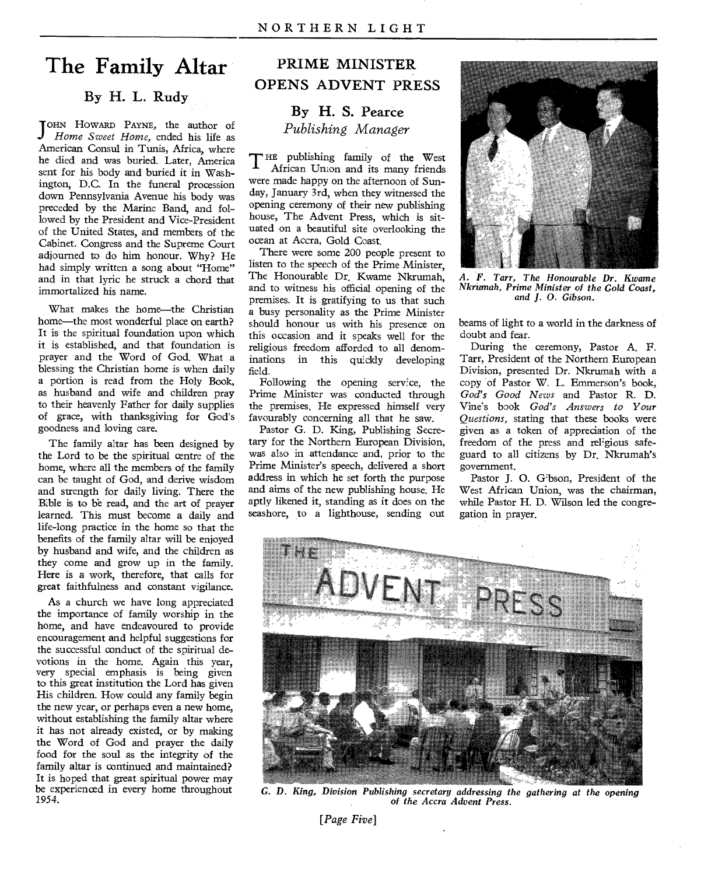# **The Family Altar**

## By H. L. Rudy

JOHN HOWARD PAYNE, the author of Home Sweet Home, ended his life as *Home Sweet Home,* ended his life as American Consul in Tunis, Africa, where he died and was buried. Later, America sent for his body and buried it in Washington, D.C. In the funeral procession down Pennsylvania Avenue his body was preceded by the Marine Band, and followed by the President and Vice-President of the United States, and members of the Cabinet. Congress and the Supreme Court adjourned to do him honour. Why? He had simply written a song about "Home" and in that lyric he struck a chord that immortalized his name.

What makes the home—the Christian home—the most wonderful place on earth? It is the spiritual foundation upon which it is established, and that foundation is prayer and the Word of God. What a blessing the Christian home is when daily a portion is read from the Holy Book, as husband and wife and children pray to their heavenly Father for daily supplies of grace, with thanksgiving for God's goodness and loving care.

The family altar has been designed by the Lord to be the spiritual centre of the home, where all the members of the family can be taught of God, and derive wisdom and strength for daily living. There the Bible is to be read, and the art of prayer learned. This must become a daily and life-long practice in the home so that the benefits of the family altar will be enjoyed by husband and wife, and the children as they come and grow up in the family. Here is a work, therefore, that calls for great faithfulness and constant vigilance.

As a church we have long appreciated the importance of family worship in the home, and have endeavoured to provide encouragement and helpful suggestions for the successful conduct of the spiritual devotions in the home. Again this year, very special emphasis is being given to this great institution the Lord has given His children. How could any family begin the new year, or perhaps even a new home, without establishing the family altar where it has not already existed, or by making the Word of God and prayer the daily food for the soul as the integrity of the family altar is continued and maintained? It is hoped that great spiritual power may be experienced in every home throughout 1954.

# PRIME MINISTER OPENS ADVENT PRESS

# By H. S. Pearce *Publishing Manager*

THE publishing family of the West<br>African Union and its many friends African Union and its many friends were made happy on the afternoon of Sunday, January 3rd, when they witnessed the opening ceremony of their new publishing house, The Advent Press, which is situated on a beautiful site overlooking the ocean at Accra, Gold Coast.

There were some 200 people present to listen to the speech of the Prime Minister, The Honourable Dr. Kwame Nkrumah, and to witness his official opening of the premises. It is gratifying to us that such a busy personality as the Prime Minister should honour us with his presence on this occasion and it speaks well for the religious freedom afforded to all denominations in this quickly developing field.

Following the opening service, the Prime Minister was conducted through the premises. He expressed himself very favourably concerning all that he saw.

Pastor G. D. King, Publishing Secretary for the Northern European Division, was also in attendance and, prior to the Prime Minister's speech, delivered a short address in which he set forth the purpose and aims of the new publishing house. He aptly likened it, standing as it does on the seashore, to a lighthouse, sending out



*A. F. Tarr, The Honourable Dr. Kwame Nkrumah, Prime Minister of the Gold Coast, and J.* 0. *Gibson.* 

beams of light to a world in the darkness of doubt and fear.

During the ceremony, Pastor A. F. Tarr, President of the Northern European Division, presented Dr. Nkrumah with a copy of Pastor W. L. Emmerson's book, *God's Good News* and Pastor R. D. Vine's book *God's Answers to Your Questions,* stating that these books were given as a token of appreciation of the freedom of the press and religious safe- guard to all citizens by Dr. Nkrumah's government.

Pastor J. 0. Gibson, President of the West African Union, was the chairman, while Pastor H. D. Wilson led the congregation in prayer.



*G. D. King, Division Publishing secretary addressing the gathering at the opening of the Accra Advent Press.* 

*[Page Five]*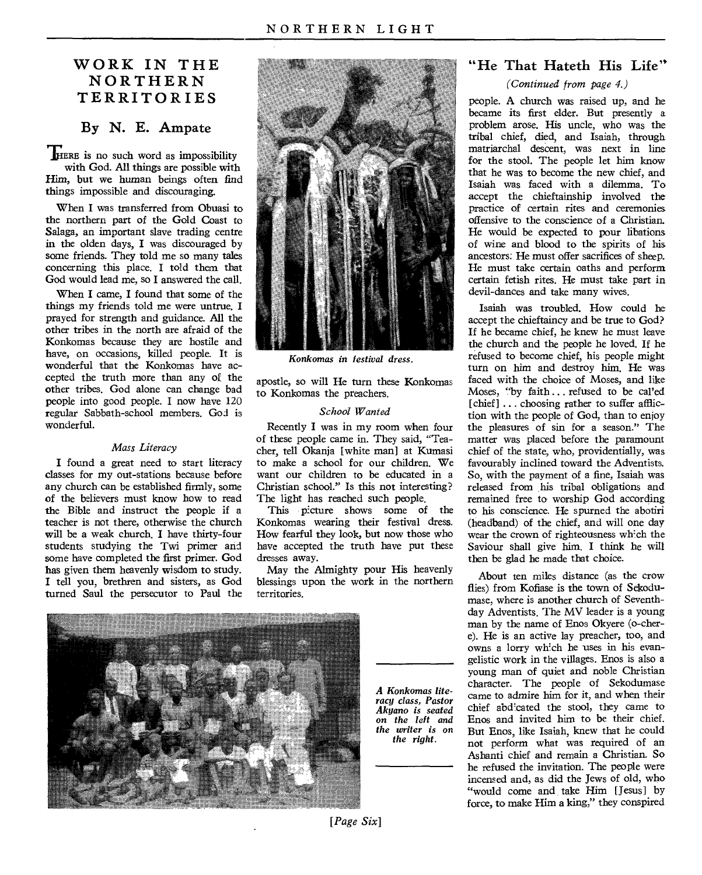# **WORK IN THE NORTHERN TERRITORIES**

## **By N. E. Ampate**

**HERE** is no such word as impossibility with God. All things are possible with Him, but we human beings often find things impossible and discouraging.

When I was transferred from Obuasi to the northern part of the Gold Coast to Salaga, an important slave trading centre in the olden days, I was discouraged by some friends. They told me so many tales concerning this place. I told them that God would lead me, so I answered the call.

When I came, I found that some of the things my friends told me were untrue. I prayed for strength and guidance. All the other tribes in the north are afraid of the Konkomas because they are hostile and have, on occasions, killed people. It is wonderful that the Konkomas have accepted the truth more than any of the other tribes. God alone can change bad people into good people. I now have 120 regular Sabbath-school members. God is wonderful.

#### *Mass Literacy*

I found a great need **to** start literacy classes for my out-stations because before any church can be established firmly, some of the believers must know how to read the Bible and instruct the people if a teacher is not there, otherwise the church will be a weak church. **I** have thirty-four students studying the Twi primer and some have completed the first primer. God has given them heavenly wisdom to study. I tell you, brethren and sisters, as God turned Saul the persecutor to Paul the



*Konkomas in festival dress.* 

apostle, so will He turn these Konkomas to Konkomas the preachers.

#### *School Wanted*

Recently I was in my room when four of these people came in. They said, "Teacher, tell Okanja [white man] at Kumasi to make a school for our children. We want our children to be educated in a Christian school." Is this not interesting? The light has reached such people.

This picture shows some of the Konkomas wearing their festival dress. How fearful they look, but now those who have accepted the truth have put these dresses away.

May the Almighty pour His heavenly blessings upon the work in the northern territories.



*A Konkomas literacy class, Pastor Akyano is seated*  on *the left and the writer is on the right.* 

# **"He That Hateth His Life"**

### *(Continued from page 4.)*

people. A church was raised up, and he became its first elder. But presently a problem arose. His uncle, who was the tribal chief, died, and Isaiah, through matriarchal descent, was next in line for the stool. The people let him know that he was to become the new chief, and Isaiah was faced with a dilemma. To accept the chieftainship involved the practice of certain rites and ceremonies offensive to the conscience of a Christian. He would be expected to pour libations of wine and blood to the spirits of his ancestors: He must offer sacrifices of sheep. He must take certain oaths and perform certain fetish rites. He must take part in devil-dances and take many wives.

Isaiah was troubled. How could he accept the chieftaincy and be true to God? If he became chief, he knew he must leave the church and the people he loved. If he refused to become chief, his people might turn on him and destroy him. He was faced with the choice of Moses, and like Moses, "by faith ... refused to be cal'ed [chief] ... choosing rather to suffer affliction with the people of God, than to enjoy the pleasures of sin for a season." The matter was placed before the paramount chief of the state, who, providentially, was favourably inclined toward the Adventists. So, with the payment of a fine, Isaiah was released from his tribal obligations and remained free to worship God according to his conscience. He spurned the abotiri (headband) of the chief, and will one day wear the crown of righteousness which the Saviour shall give him. I think he will then be glad he made that choice.

About ten miles distance (as the crow flies) from Kofiase is the town of Sekodumase, where is another church of Seventhday Adventists. The MV leader is a young man by the name of Enos Okyere (o-chere). He is an active lay preacher, too, and owns a lorry which he uses in his evangelistic work in the villages. Enos is also a young man of quiet and noble Christian character. The people of Sekodumase came to admire him for it, and when their chief abdicated the stool, they came to Enos and invited him to be their chief. But Enos, like Isaiah, knew that he could not perform what was required of an Ashanti chief and remain a Christian. So he refused the invitation. The people were incensed and, as did the Jews of old, who "would come and take Him [Jesus] by force, to make Him a king," they conspired

*[Page Six]*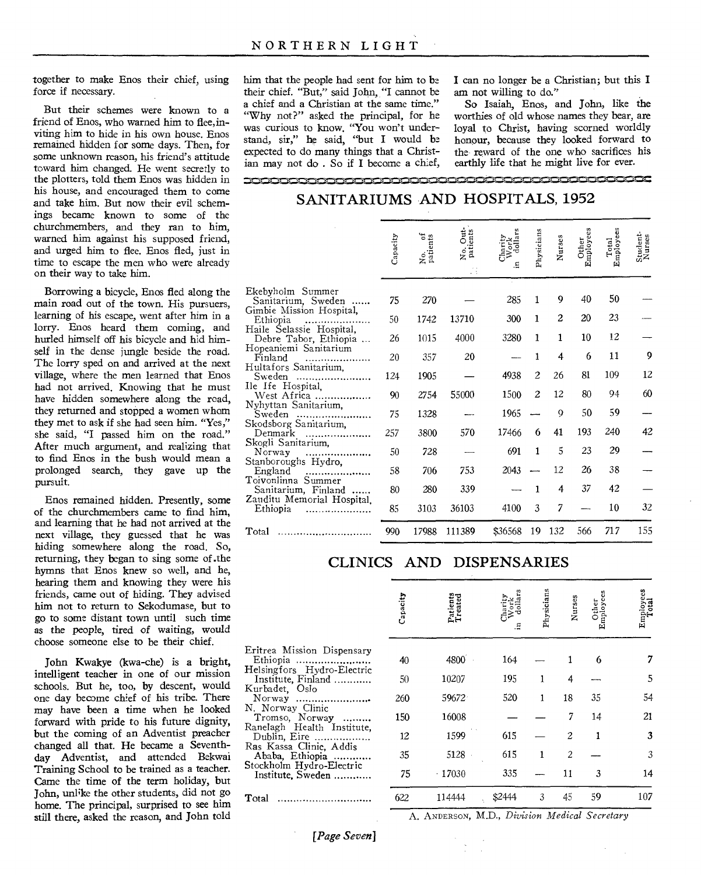together to make Enos their chief, using force if necessary.

But their schemes were known to a friend of Enos, who warned him to flee, inviting him to hide in his own house. Enos remained hidden for some days. Then, for some unknown reason, his friend's attitude toward him changed. He went secretly to the plotters, told them Enos was hidden in his house, and encouraged them to come and take him. But now their evil schemings became known to some of the churchmembers, and they ran to him, warned him against his supposed friend, and urged him to flee. Enos fled, just in time to escape the men who were already on their way to take him.

Borrowing a bicycle, Enos fled along the main road out of the town. His pursuers, learning of his escape, went after him in a lorry. Enos heard them coming, and hurled himself off his bicycle and hid himself in the dense jungle beside the road. The lorry sped on and arrived at the next village, where the men learned that Enos had not arrived. Knowing that he must have hidden somewhere along the road, they returned and stopped a women whom they met to ask if she had seen him. "Yes," she said, "I passed him on the road." After much argument, and realizing that to find Enos in the bush would mean a prolonged search, they gave up the pursuit.

Enos remained hidden. Presently, some of the churchmembers came to find him, and learning that he had not arrived at the next village, they guessed that he was hiding somewhere along the road. So, returning, they began to sing some of .the hymns that Enos knew so well, and he, hearing them and knowing they were his friends, came out of hiding. They advised him not to return to Sekodumase, but to go to some distant town until such time as the people, tired of waiting, would choose someone else to be their chief.

John Kwakye (kwa-che) is a bright, intelligent teacher in one of our mission schools. But he, too, by descent, would one day become chief of his tribe. There may have been a time when he looked forward with pride to his future dignity, but the coming of an Adventist preacher changed all that. He became a Seventhday Adventist, and attended Bekwai Training School to be trained as a teacher. Came the time of the term holiday, but John, unlike the other students, did not go home. The principal, surprised to see him still there, asked the reason, and John told

him that the people had sent for him to be their chief. "But," said John, "I cannot be a chief and a Christian at the same time." "Why not?" asked the principal, for he was curious to know. "You won't understand, sir," he said, "but I would be expected to do many things that a Christian may not do . So if I become a chief,

I can no longer be a Christian; but this I am not willing to do."

So Isaiah, Enos, and John, like the worthies of old whose names they bear, are loyal to Christ, having scorned worldly honour, because they looked forward to the reward of the one who sacrifices his earthly life that he might live for ever.

ians

ies

 $\frac{1}{2}$  cut.

er<br>yees

# SANITARIUMS AND HOSPITALS, 1952

'8 or

ity

100•Neomismi,••••••••=1,11iNonismismi,=-NmismismisomiNniNne.sinenisenismislintomissonisssiNm,m,••NniNintNaNnisaiNili`sii,NiNwimmilseessikgmk,

Out:<br>cnts

|                                                           | Capa | No.<br>patie | No.    | ∄≵ਚੋਂ<br>Ξ. | Physi          | $\overline{\mathbf{r}}$ | ិដ្ឋិ<br>មិដ្ឋិ | re<br>Empl | $\frac{1}{N}$ |
|-----------------------------------------------------------|------|--------------|--------|-------------|----------------|-------------------------|-----------------|------------|---------------|
| Ekebyholm Summer                                          |      |              |        |             |                |                         |                 |            |               |
| Sanitarium, Sweden                                        | 75   | 270          |        | 285         | 1              | 9                       | 40              | 50         |               |
| Gimbie Mission Hospital,<br>Ethiopia                      | 50   | 1742         | 13710  | 300         | 1              | $\overline{c}$          | 20              | 23         |               |
| Haile Selassie Hospital,<br>Debre Tabor, Ethiopia         | 26   | 1015         | 4000   | 3280        | 1              | 1                       | 10              | 12         |               |
| Hopeaniemi Sanitarium<br>Finland<br>Hultafors Sanitarium, | 20   | 357          | 20     |             | 1              | 4                       | 6               | 11         | 9             |
| Sweden                                                    | 124  | 1905         |        | 4938        | $\overline{c}$ | 26                      | 81              | 109        | 12            |
| Ile Ife Hospital.<br>West Africa                          | 90   | 2754         | 55000  | 1500        | $\overline{c}$ | 12                      | 80              | 94         | 60            |
| Nyhyttan Sanitarium,<br>Sweden<br>                        | 75   | 1328         |        | 1965        |                | 9                       | 50              | 59         |               |
| Skodsborg Sanitarium,<br>Denmark                          | 257  | 3800         | 570    | 17466       | 6              | 41                      | 193             | 240        | 42            |
| Skogli Sanitarium,<br>Norway<br>.<br>.                    | 50   | 728          |        | 691         | 1              | 5                       | 23              | 29         |               |
| Stanboroughs Hydro,<br>England                            | 58   | 706          | 753    | 2043        |                | 12                      | 26              | 38         |               |
| Toivonlinna Summer<br>Sanitarium, Finland                 | 80   | 280          | 339    |             | 1              | 4                       | 37              | 42         |               |
| Zauditu Memorial Hospital,<br>Ethiopia                    | 85   | 3103         | 36103  | 4100        | 3              | 7                       |                 | 10         | 32            |
| Total                                                     | 990  | 17988        | 111389 | \$36568     | 19             | 132                     | 566             | 717        | 155           |

# CLINICS AND DISPENSARIES

| Capacity | Patients<br>Treated | Ξ      | Physicians | Nurses         | Other<br>Employees | Employees<br>Total |
|----------|---------------------|--------|------------|----------------|--------------------|--------------------|
| 40       | 4800                | 164    |            |                | 6                  |                    |
| 50       | 10207               | 195    |            | 4              |                    | 5                  |
| 260      | 59672.              | 520    | 1          | 18             | 35                 | 54                 |
| 150      | 16008               |        |            | 7              | 14                 | 21                 |
| 12       | 1599                | 615    |            | $\mathfrak{D}$ |                    | 3                  |
| 35       | 5128                | 615    | 1          | 2              |                    | 3                  |
| 75       | $-17030$            | 335    |            | 11             | 3                  | 14                 |
| 622      | 114444              | \$2444 | 3          | 45             | 59                 | 107                |
|          |                     |        |            |                |                    |                    |

A. ANDERSON, M.D., *Division Medical Secretary* 

*[Page Seven]*